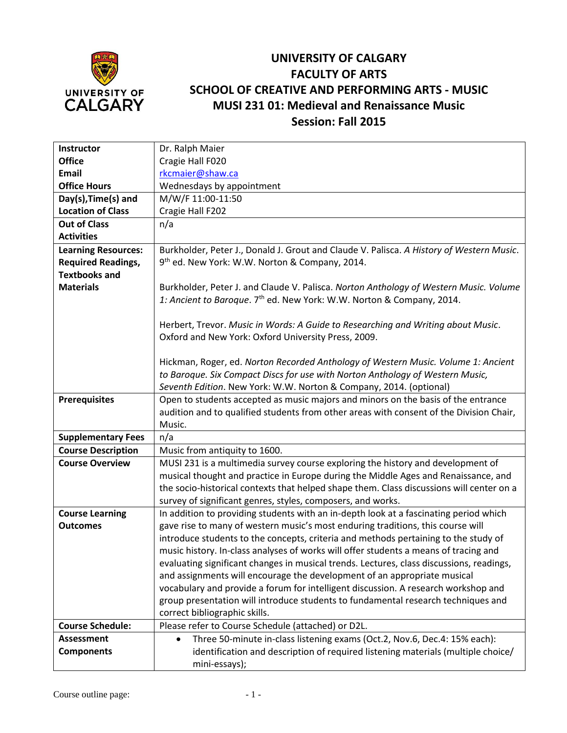

## **UNIVERSITY OF CALGARY FACULTY OF ARTS SCHOOL OF CREATIVE AND PERFORMING ARTS - MUSIC MUSI 231 01: Medieval and Renaissance Music Session: Fall 2015**

| Instructor                 | Dr. Ralph Maier                                                                                   |
|----------------------------|---------------------------------------------------------------------------------------------------|
| <b>Office</b>              | Cragie Hall F020                                                                                  |
| Email                      | rkcmaier@shaw.ca                                                                                  |
| <b>Office Hours</b>        | Wednesdays by appointment                                                                         |
| Day(s), Time(s) and        | M/W/F 11:00-11:50                                                                                 |
| <b>Location of Class</b>   | Cragie Hall F202                                                                                  |
| <b>Out of Class</b>        | n/a                                                                                               |
| <b>Activities</b>          |                                                                                                   |
| <b>Learning Resources:</b> | Burkholder, Peter J., Donald J. Grout and Claude V. Palisca. A History of Western Music.          |
| <b>Required Readings,</b>  | 9 <sup>th</sup> ed. New York: W.W. Norton & Company, 2014.                                        |
| <b>Textbooks and</b>       |                                                                                                   |
| <b>Materials</b>           | Burkholder, Peter J. and Claude V. Palisca. Norton Anthology of Western Music. Volume             |
|                            | 1: Ancient to Baroque. 7 <sup>th</sup> ed. New York: W.W. Norton & Company, 2014.                 |
|                            |                                                                                                   |
|                            | Herbert, Trevor. Music in Words: A Guide to Researching and Writing about Music.                  |
|                            | Oxford and New York: Oxford University Press, 2009.                                               |
|                            |                                                                                                   |
|                            | Hickman, Roger, ed. Norton Recorded Anthology of Western Music. Volume 1: Ancient                 |
|                            | to Baroque. Six Compact Discs for use with Norton Anthology of Western Music,                     |
|                            | Seventh Edition. New York: W.W. Norton & Company, 2014. (optional)                                |
| <b>Prerequisites</b>       | Open to students accepted as music majors and minors on the basis of the entrance                 |
|                            | audition and to qualified students from other areas with consent of the Division Chair,<br>Music. |
| <b>Supplementary Fees</b>  | n/a                                                                                               |
| <b>Course Description</b>  | Music from antiquity to 1600.                                                                     |
| <b>Course Overview</b>     | MUSI 231 is a multimedia survey course exploring the history and development of                   |
|                            | musical thought and practice in Europe during the Middle Ages and Renaissance, and                |
|                            | the socio-historical contexts that helped shape them. Class discussions will center on a          |
|                            | survey of significant genres, styles, composers, and works.                                       |
| <b>Course Learning</b>     | In addition to providing students with an in-depth look at a fascinating period which             |
| <b>Outcomes</b>            | gave rise to many of western music's most enduring traditions, this course will                   |
|                            | introduce students to the concepts, criteria and methods pertaining to the study of               |
|                            | music history. In-class analyses of works will offer students a means of tracing and              |
|                            | evaluating significant changes in musical trends. Lectures, class discussions, readings,          |
|                            | and assignments will encourage the development of an appropriate musical                          |
|                            | vocabulary and provide a forum for intelligent discussion. A research workshop and                |
|                            | group presentation will introduce students to fundamental research techniques and                 |
|                            | correct bibliographic skills.                                                                     |
| <b>Course Schedule:</b>    | Please refer to Course Schedule (attached) or D2L.                                                |
| <b>Assessment</b>          | Three 50-minute in-class listening exams (Oct.2, Nov.6, Dec.4: 15% each):<br>$\bullet$            |
| <b>Components</b>          | identification and description of required listening materials (multiple choice/                  |
|                            | mini-essays);                                                                                     |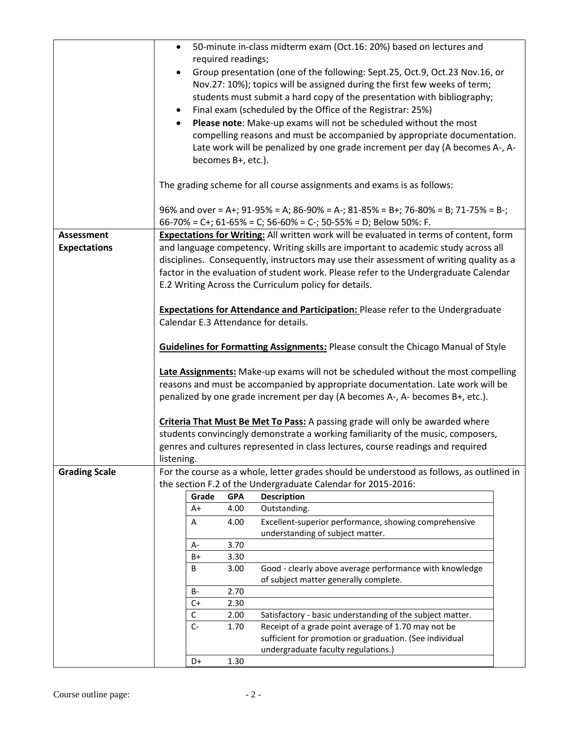|                      | 50-minute in-class midterm exam (Oct.16: 20%) based on lectures and<br>$\bullet$                                                |
|----------------------|---------------------------------------------------------------------------------------------------------------------------------|
|                      | required readings;                                                                                                              |
|                      | Group presentation (one of the following: Sept.25, Oct.9, Oct.23 Nov.16, or<br>$\bullet$                                        |
|                      | Nov.27: 10%); topics will be assigned during the first few weeks of term;                                                       |
|                      | students must submit a hard copy of the presentation with bibliography;                                                         |
|                      | Final exam (scheduled by the Office of the Registrar: 25%)<br>$\bullet$                                                         |
|                      | Please note: Make-up exams will not be scheduled without the most<br>$\bullet$                                                  |
|                      | compelling reasons and must be accompanied by appropriate documentation.                                                        |
|                      | Late work will be penalized by one grade increment per day (A becomes A-, A-                                                    |
|                      | becomes B+, etc.).                                                                                                              |
|                      | The grading scheme for all course assignments and exams is as follows:                                                          |
|                      | 96% and over = A+; 91-95% = A; 86-90% = A-; 81-85% = B+; 76-80% = B; 71-75% = B-;                                               |
|                      | 66-70% = C+; 61-65% = C; 56-60% = C-; 50-55% = D; Below 50%: F.                                                                 |
| <b>Assessment</b>    | <b>Expectations for Writing:</b> All written work will be evaluated in terms of content, form                                   |
| <b>Expectations</b>  | and language competency. Writing skills are important to academic study across all                                              |
|                      | disciplines. Consequently, instructors may use their assessment of writing quality as a                                         |
|                      | factor in the evaluation of student work. Please refer to the Undergraduate Calendar                                            |
|                      | E.2 Writing Across the Curriculum policy for details.                                                                           |
|                      |                                                                                                                                 |
|                      | <b>Expectations for Attendance and Participation: Please refer to the Undergraduate</b><br>Calendar E.3 Attendance for details. |
|                      |                                                                                                                                 |
|                      | <b>Guidelines for Formatting Assignments: Please consult the Chicago Manual of Style</b>                                        |
|                      | Late Assignments: Make-up exams will not be scheduled without the most compelling                                               |
|                      | reasons and must be accompanied by appropriate documentation. Late work will be                                                 |
|                      | penalized by one grade increment per day (A becomes A-, A- becomes B+, etc.).                                                   |
|                      |                                                                                                                                 |
|                      | Criteria That Must Be Met To Pass: A passing grade will only be awarded where                                                   |
|                      | students convincingly demonstrate a working familiarity of the music, composers,                                                |
|                      | genres and cultures represented in class lectures, course readings and required                                                 |
|                      | listening.                                                                                                                      |
| <b>Grading Scale</b> | For the course as a whole, letter grades should be understood as follows, as outlined in                                        |
|                      | the section F.2 of the Undergraduate Calendar for 2015-2016:                                                                    |
|                      | Grade<br><b>GPA</b><br><b>Description</b>                                                                                       |
|                      | Outstanding.<br>4.00<br>$A+$                                                                                                    |
|                      | Excellent-superior performance, showing comprehensive<br>Α<br>4.00                                                              |
|                      | understanding of subject matter.<br>3.70                                                                                        |
|                      | A-<br>$B+$<br>3.30                                                                                                              |
|                      | Good - clearly above average performance with knowledge<br>B<br>3.00                                                            |
|                      | of subject matter generally complete.                                                                                           |
|                      | 2.70<br>B-                                                                                                                      |
|                      | $C+$<br>2.30                                                                                                                    |
|                      | $\mathsf C$<br>2.00<br>Satisfactory - basic understanding of the subject matter.                                                |
|                      | $C-$<br>Receipt of a grade point average of 1.70 may not be<br>1.70<br>sufficient for promotion or graduation. (See individual  |
|                      | undergraduate faculty regulations.)                                                                                             |
|                      | 1.30<br>D+                                                                                                                      |
|                      |                                                                                                                                 |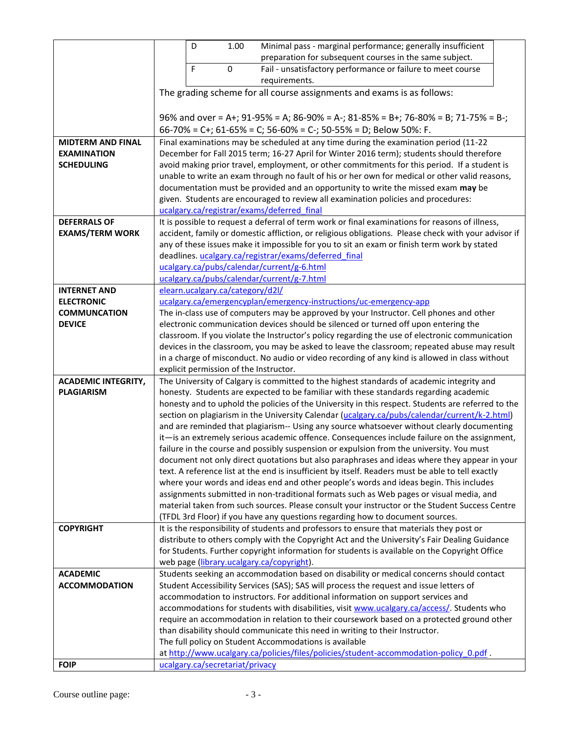|                                                 | D<br>Minimal pass - marginal performance; generally insufficient<br>1.00                                                                                                            |
|-------------------------------------------------|-------------------------------------------------------------------------------------------------------------------------------------------------------------------------------------|
|                                                 | preparation for subsequent courses in the same subject.                                                                                                                             |
|                                                 | F<br>0<br>Fail - unsatisfactory performance or failure to meet course                                                                                                               |
|                                                 | requirements.                                                                                                                                                                       |
|                                                 | The grading scheme for all course assignments and exams is as follows:                                                                                                              |
|                                                 |                                                                                                                                                                                     |
|                                                 | 96% and over = A+; 91-95% = A; 86-90% = A-; 81-85% = B+; 76-80% = B; 71-75% = B-;                                                                                                   |
|                                                 | 66-70% = C+; 61-65% = C; 56-60% = C-; 50-55% = D; Below 50%: F.                                                                                                                     |
| <b>MIDTERM AND FINAL</b>                        | Final examinations may be scheduled at any time during the examination period (11-22                                                                                                |
| <b>EXAMINATION</b>                              | December for Fall 2015 term; 16-27 April for Winter 2016 term); students should therefore                                                                                           |
| <b>SCHEDULING</b>                               | avoid making prior travel, employment, or other commitments for this period. If a student is                                                                                        |
|                                                 | unable to write an exam through no fault of his or her own for medical or other valid reasons,<br>documentation must be provided and an opportunity to write the missed exam may be |
|                                                 | given. Students are encouraged to review all examination policies and procedures:                                                                                                   |
|                                                 | ucalgary.ca/registrar/exams/deferred final                                                                                                                                          |
| <b>DEFERRALS OF</b>                             | It is possible to request a deferral of term work or final examinations for reasons of illness,                                                                                     |
| <b>EXAMS/TERM WORK</b>                          | accident, family or domestic affliction, or religious obligations. Please check with your advisor if                                                                                |
|                                                 | any of these issues make it impossible for you to sit an exam or finish term work by stated                                                                                         |
|                                                 | deadlines. ucalgary.ca/registrar/exams/deferred final                                                                                                                               |
|                                                 | ucalgary.ca/pubs/calendar/current/g-6.html                                                                                                                                          |
|                                                 | ucalgary.ca/pubs/calendar/current/g-7.html                                                                                                                                          |
| <b>INTERNET AND</b>                             | elearn.ucalgary.ca/category/d2l/                                                                                                                                                    |
| <b>ELECTRONIC</b>                               | ucalgary.ca/emergencyplan/emergency-instructions/uc-emergency-app                                                                                                                   |
| <b>COMMUNCATION</b>                             | The in-class use of computers may be approved by your Instructor. Cell phones and other                                                                                             |
| <b>DEVICE</b>                                   | electronic communication devices should be silenced or turned off upon entering the                                                                                                 |
|                                                 | classroom. If you violate the Instructor's policy regarding the use of electronic communication                                                                                     |
|                                                 | devices in the classroom, you may be asked to leave the classroom; repeated abuse may result                                                                                        |
|                                                 | in a charge of misconduct. No audio or video recording of any kind is allowed in class without                                                                                      |
|                                                 | explicit permission of the Instructor.                                                                                                                                              |
| <b>ACADEMIC INTEGRITY,</b><br><b>PLAGIARISM</b> | The University of Calgary is committed to the highest standards of academic integrity and<br>honesty. Students are expected to be familiar with these standards regarding academic  |
|                                                 | honesty and to uphold the policies of the University in this respect. Students are referred to the                                                                                  |
|                                                 | section on plagiarism in the University Calendar (ucalgary.ca/pubs/calendar/current/k-2.html)                                                                                       |
|                                                 | and are reminded that plagiarism-- Using any source whatsoever without clearly documenting                                                                                          |
|                                                 | it-is an extremely serious academic offence. Consequences include failure on the assignment,                                                                                        |
|                                                 | failure in the course and possibly suspension or expulsion from the university. You must                                                                                            |
|                                                 | document not only direct quotations but also paraphrases and ideas where they appear in your                                                                                        |
|                                                 | text. A reference list at the end is insufficient by itself. Readers must be able to tell exactly                                                                                   |
|                                                 | where your words and ideas end and other people's words and ideas begin. This includes                                                                                              |
|                                                 | assignments submitted in non-traditional formats such as Web pages or visual media, and                                                                                             |
|                                                 | material taken from such sources. Please consult your instructor or the Student Success Centre                                                                                      |
|                                                 | (TFDL 3rd Floor) if you have any questions regarding how to document sources.                                                                                                       |
| <b>COPYRIGHT</b>                                | It is the responsibility of students and professors to ensure that materials they post or                                                                                           |
|                                                 | distribute to others comply with the Copyright Act and the University's Fair Dealing Guidance                                                                                       |
|                                                 | for Students. Further copyright information for students is available on the Copyright Office<br>web page (library.ucalgary.ca/copyright).                                          |
| <b>ACADEMIC</b>                                 | Students seeking an accommodation based on disability or medical concerns should contact                                                                                            |
| <b>ACCOMMODATION</b>                            | Student Accessibility Services (SAS); SAS will process the request and issue letters of                                                                                             |
|                                                 | accommodation to instructors. For additional information on support services and                                                                                                    |
|                                                 | accommodations for students with disabilities, visit www.ucalgary.ca/access/. Students who                                                                                          |
|                                                 | require an accommodation in relation to their coursework based on a protected ground other                                                                                          |
|                                                 | than disability should communicate this need in writing to their Instructor.                                                                                                        |
|                                                 | The full policy on Student Accommodations is available                                                                                                                              |
|                                                 | at http://www.ucalgary.ca/policies/files/policies/student-accommodation-policy 0.pdf.                                                                                               |
| <b>FOIP</b>                                     | ucalgary.ca/secretariat/privacy                                                                                                                                                     |